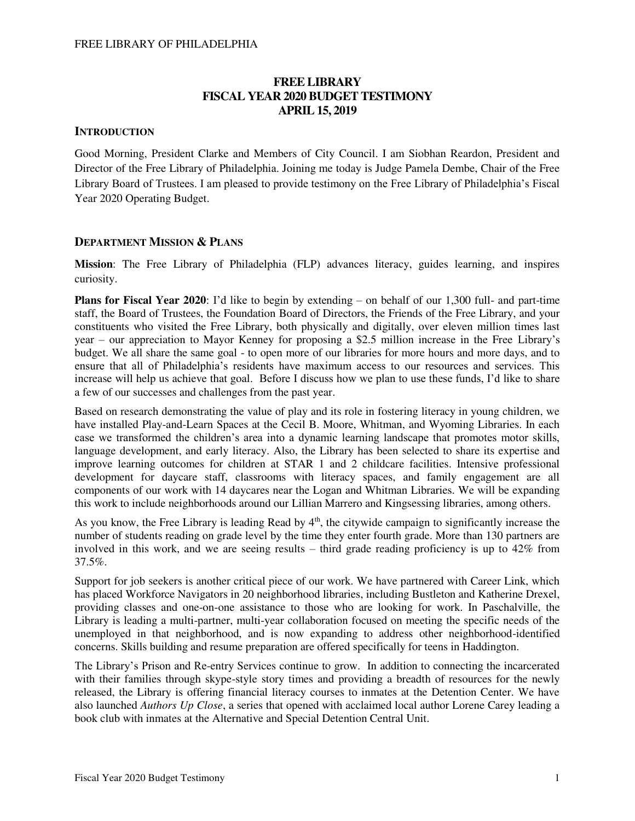# **FREE LIBRARY FISCAL YEAR 2020 BUDGET TESTIMONY APRIL 15, 2019**

## **INTRODUCTION**

Good Morning, President Clarke and Members of City Council. I am Siobhan Reardon, President and Director of the Free Library of Philadelphia. Joining me today is Judge Pamela Dembe, Chair of the Free Library Board of Trustees. I am pleased to provide testimony on the Free Library of Philadelphia's Fiscal Year 2020 Operating Budget.

### **DEPARTMENT MISSION & PLANS**

**Mission**: The Free Library of Philadelphia (FLP) advances literacy, guides learning, and inspires curiosity.

**Plans for Fiscal Year 2020**: I'd like to begin by extending – on behalf of our 1,300 full- and part-time staff, the Board of Trustees, the Foundation Board of Directors, the Friends of the Free Library, and your constituents who visited the Free Library, both physically and digitally, over eleven million times last year – our appreciation to Mayor Kenney for proposing a \$2.5 million increase in the Free Library's budget. We all share the same goal - to open more of our libraries for more hours and more days, and to ensure that all of Philadelphia's residents have maximum access to our resources and services. This increase will help us achieve that goal. Before I discuss how we plan to use these funds, I'd like to share a few of our successes and challenges from the past year.

Based on research demonstrating the value of play and its role in fostering literacy in young children, we have installed Play-and-Learn Spaces at the Cecil B. Moore, Whitman, and Wyoming Libraries. In each case we transformed the children's area into a dynamic learning landscape that promotes motor skills, language development, and early literacy. Also, the Library has been selected to share its expertise and improve learning outcomes for children at STAR 1 and 2 childcare facilities. Intensive professional development for daycare staff, classrooms with literacy spaces, and family engagement are all components of our work with 14 daycares near the Logan and Whitman Libraries. We will be expanding this work to include neighborhoods around our Lillian Marrero and Kingsessing libraries, among others.

As you know, the Free Library is leading Read by  $4<sup>th</sup>$ , the citywide campaign to significantly increase the number of students reading on grade level by the time they enter fourth grade. More than 130 partners are involved in this work, and we are seeing results – third grade reading proficiency is up to 42% from 37.5%.

Support for job seekers is another critical piece of our work. We have partnered with Career Link, which has placed Workforce Navigators in 20 neighborhood libraries, including Bustleton and Katherine Drexel, providing classes and one-on-one assistance to those who are looking for work. In Paschalville, the Library is leading a multi-partner, multi-year collaboration focused on meeting the specific needs of the unemployed in that neighborhood, and is now expanding to address other neighborhood-identified concerns. Skills building and resume preparation are offered specifically for teens in Haddington.

The Library's Prison and Re-entry Services continue to grow. In addition to connecting the incarcerated with their families through skype-style story times and providing a breadth of resources for the newly released, the Library is offering financial literacy courses to inmates at the Detention Center. We have also launched *Authors Up Close*, a series that opened with acclaimed local author Lorene Carey leading a book club with inmates at the Alternative and Special Detention Central Unit.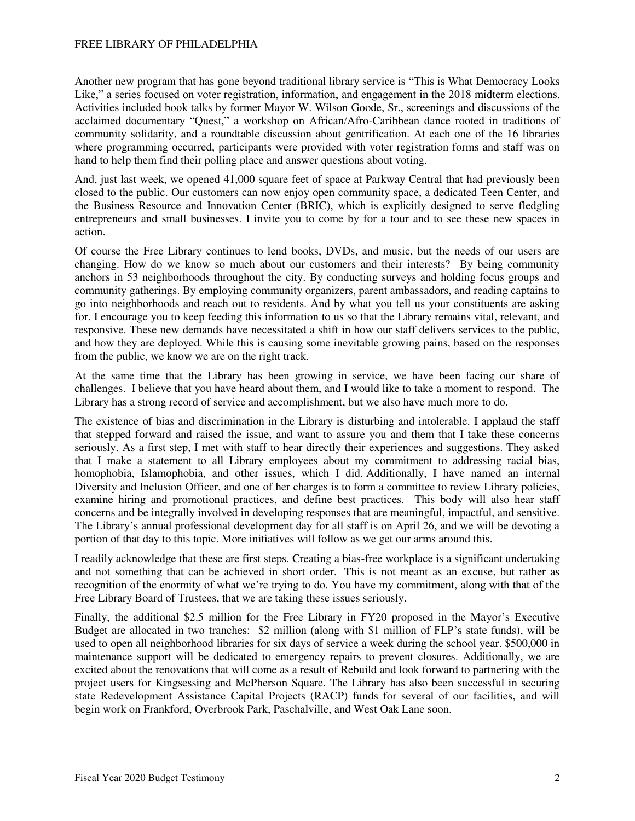Another new program that has gone beyond traditional library service is "This is What Democracy Looks Like," a series focused on voter registration, information, and engagement in the 2018 midterm elections. Activities included book talks by former Mayor W. Wilson Goode, Sr., screenings and discussions of the acclaimed documentary "Quest," a workshop on African/Afro-Caribbean dance rooted in traditions of community solidarity, and a roundtable discussion about gentrification. At each one of the 16 libraries where programming occurred, participants were provided with voter registration forms and staff was on hand to help them find their polling place and answer questions about voting.

And, just last week, we opened 41,000 square feet of space at Parkway Central that had previously been closed to the public. Our customers can now enjoy open community space, a dedicated Teen Center, and the Business Resource and Innovation Center (BRIC), which is explicitly designed to serve fledgling entrepreneurs and small businesses. I invite you to come by for a tour and to see these new spaces in action.

Of course the Free Library continues to lend books, DVDs, and music, but the needs of our users are changing. How do we know so much about our customers and their interests? By being community anchors in 53 neighborhoods throughout the city. By conducting surveys and holding focus groups and community gatherings. By employing community organizers, parent ambassadors, and reading captains to go into neighborhoods and reach out to residents. And by what you tell us your constituents are asking for. I encourage you to keep feeding this information to us so that the Library remains vital, relevant, and responsive. These new demands have necessitated a shift in how our staff delivers services to the public, and how they are deployed. While this is causing some inevitable growing pains, based on the responses from the public, we know we are on the right track.

At the same time that the Library has been growing in service, we have been facing our share of challenges. I believe that you have heard about them, and I would like to take a moment to respond. The Library has a strong record of service and accomplishment, but we also have much more to do.

The existence of bias and discrimination in the Library is disturbing and intolerable. I applaud the staff that stepped forward and raised the issue, and want to assure you and them that I take these concerns seriously. As a first step, I met with staff to hear directly their experiences and suggestions. They asked that I make a statement to all Library employees about my commitment to addressing racial bias, homophobia, Islamophobia, and other issues, which I did. Additionally, I have named an internal Diversity and Inclusion Officer, and one of her charges is to form a committee to review Library policies, examine hiring and promotional practices, and define best practices. This body will also hear staff concerns and be integrally involved in developing responses that are meaningful, impactful, and sensitive. The Library's annual professional development day for all staff is on April 26, and we will be devoting a portion of that day to this topic. More initiatives will follow as we get our arms around this.

I readily acknowledge that these are first steps. Creating a bias-free workplace is a significant undertaking and not something that can be achieved in short order. This is not meant as an excuse, but rather as recognition of the enormity of what we're trying to do. You have my commitment, along with that of the Free Library Board of Trustees, that we are taking these issues seriously.

Finally, the additional \$2.5 million for the Free Library in FY20 proposed in the Mayor's Executive Budget are allocated in two tranches: \$2 million (along with \$1 million of FLP's state funds), will be used to open all neighborhood libraries for six days of service a week during the school year. \$500,000 in maintenance support will be dedicated to emergency repairs to prevent closures. Additionally, we are excited about the renovations that will come as a result of Rebuild and look forward to partnering with the project users for Kingsessing and McPherson Square. The Library has also been successful in securing state Redevelopment Assistance Capital Projects (RACP) funds for several of our facilities, and will begin work on Frankford, Overbrook Park, Paschalville, and West Oak Lane soon.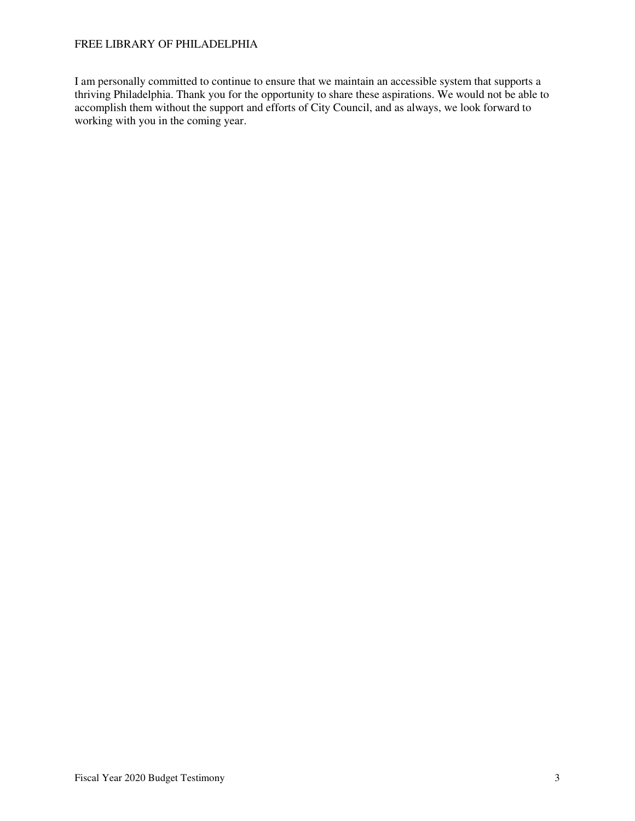I am personally committed to continue to ensure that we maintain an accessible system that supports a thriving Philadelphia. Thank you for the opportunity to share these aspirations. We would not be able to accomplish them without the support and efforts of City Council, and as always, we look forward to working with you in the coming year.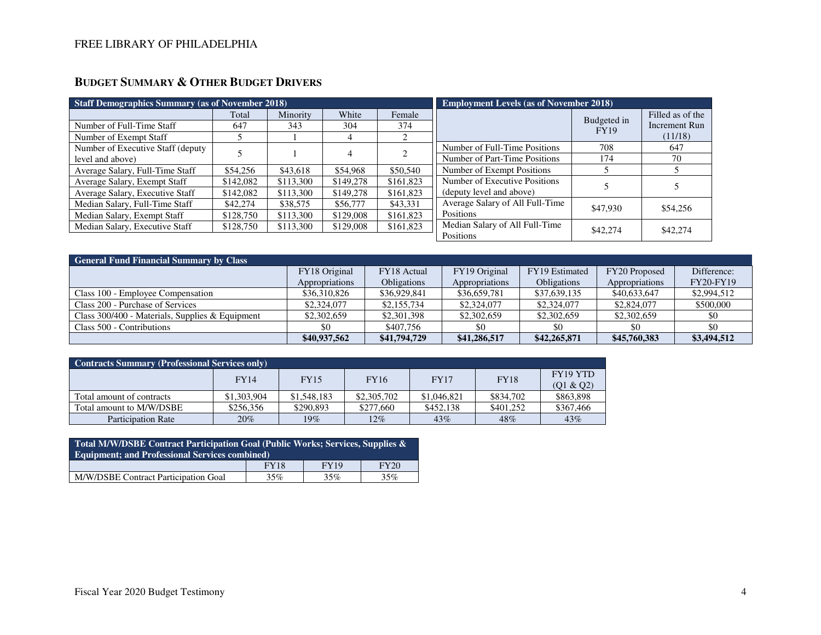# **BUDGET SUMMARY & OTHER BUDGET DRIVERS**

| <b>Staff Demographics Summary (as of November 2018)</b> |           |           |           |           | <b>Employment Levels (as of November 2018)</b> |             |                      |  |
|---------------------------------------------------------|-----------|-----------|-----------|-----------|------------------------------------------------|-------------|----------------------|--|
|                                                         | Total     | Minority  | White     | Female    |                                                | Budgeted in | Filled as of the     |  |
| Number of Full-Time Staff                               | 647       | 343       | 304       | 374       |                                                | <b>FY19</b> | <b>Increment Run</b> |  |
| Number of Exempt Staff                                  |           |           | 4         |           |                                                |             | (11/18)              |  |
| Number of Executive Staff (deputy)                      |           |           |           |           | Number of Full-Time Positions                  | 708         | 647                  |  |
| level and above)                                        |           |           | 4         |           | Number of Part-Time Positions                  | 174         | 70                   |  |
| Average Salary, Full-Time Staff                         | \$54,256  | \$43,618  | \$54,968  | \$50,540  | Number of Exempt Positions                     |             |                      |  |
| Average Salary, Exempt Staff                            | \$142,082 | \$113,300 | \$149,278 | \$161,823 | Number of Executive Positions                  |             |                      |  |
| Average Salary, Executive Staff                         | \$142,082 | \$113,300 | \$149,278 | \$161,823 | (deputy level and above)                       |             |                      |  |
| Median Salary, Full-Time Staff                          | \$42,274  | \$38,575  | \$56,777  | \$43,331  | Average Salary of All Full-Time                | \$47,930    | \$54,256             |  |
| Median Salary, Exempt Staff                             | \$128,750 | \$113,300 | \$129,008 | \$161,823 | Positions                                      |             |                      |  |
| Median Salary, Executive Staff                          | \$128,750 | \$113,300 | \$129,008 | \$161,823 | Median Salary of All Full-Time                 | \$42,274    | \$42,274             |  |
|                                                         |           |           |           |           | Positions                                      |             |                      |  |

| <b>General Fund Financial Summary by Class</b>  |                |                    |                |                    |                |                  |  |  |  |
|-------------------------------------------------|----------------|--------------------|----------------|--------------------|----------------|------------------|--|--|--|
|                                                 | FY18 Original  | FY18 Actual        | FY19 Original  | FY19 Estimated     | FY20 Proposed  | Difference:      |  |  |  |
|                                                 | Appropriations | <b>Obligations</b> | Appropriations | <b>Obligations</b> | Appropriations | <b>FY20-FY19</b> |  |  |  |
| Class 100 - Employee Compensation               | \$36,310,826   | \$36,929,841       | \$36,659,781   | \$37,639,135       | \$40,633,647   | \$2,994,512      |  |  |  |
| Class 200 - Purchase of Services                | \$2,324,077    | \$2,155,734        | \$2,324,077    | \$2,324,077        | \$2,824,077    | \$500,000        |  |  |  |
| Class 300/400 - Materials, Supplies & Equipment | \$2,302,659    | \$2,301,398        | \$2,302,659    | \$2,302,659        | \$2,302,659    | \$0              |  |  |  |
| Class 500 - Contributions                       | \$0            | \$407,756          | -\$0           | \$0                | -\$0           | \$0              |  |  |  |
|                                                 | \$40,937,562   | \$41,794,729       | \$41,286,517   | \$42,265,871       | \$45,760,383   | \$3,494,512      |  |  |  |

| <b>Contracts Summary (Professional Services only)</b> |             |             |             |             |             |                                   |  |  |  |
|-------------------------------------------------------|-------------|-------------|-------------|-------------|-------------|-----------------------------------|--|--|--|
|                                                       | <b>FY14</b> | <b>FY15</b> | <b>FY16</b> | <b>FY17</b> | <b>FY18</b> | FY <sub>19</sub> YTD<br>(01 & 02) |  |  |  |
| Total amount of contracts                             | \$1,303,904 | \$1,548,183 | \$2,305,702 | \$1,046,821 | \$834,702   | \$863,898                         |  |  |  |
| Total amount to M/W/DSBE                              | \$256.356   | \$290,893   | \$277,660   | \$452.138   | \$401.252   | \$367,466                         |  |  |  |
| <b>Participation Rate</b>                             | 20%         | 19%         | 12%         | 43%         | 48%         | 43%                               |  |  |  |

| Total M/W/DSBE Contract Participation Goal (Public Works; Services, Supplies &<br><b>Equipment; and Professional Services combined)</b> |             |      |             |  |  |  |  |
|-----------------------------------------------------------------------------------------------------------------------------------------|-------------|------|-------------|--|--|--|--|
|                                                                                                                                         | <b>FY18</b> | FY19 | <b>FY20</b> |  |  |  |  |
| M/W/DSBE Contract Participation Goal                                                                                                    | 35%         | 35%  | 35%         |  |  |  |  |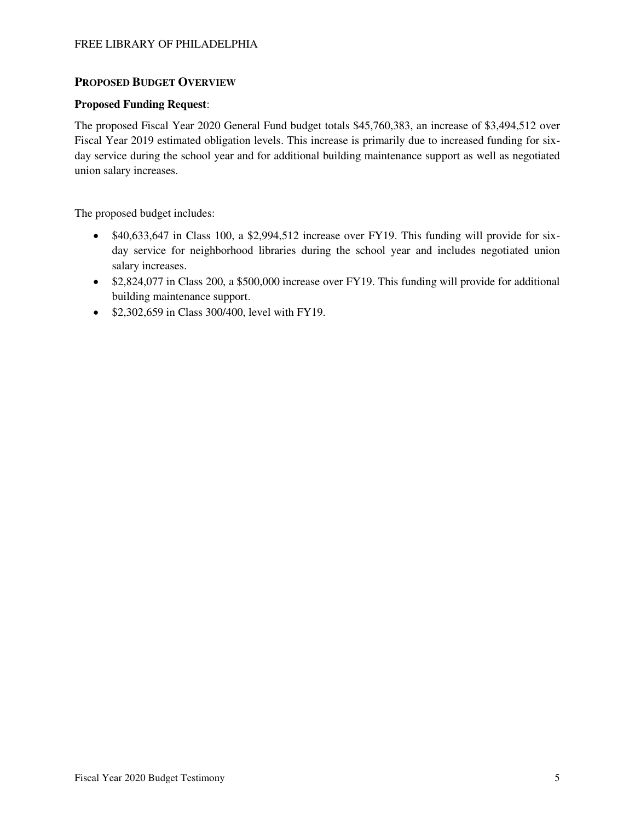# **PROPOSED BUDGET OVERVIEW**

## **Proposed Funding Request**:

The proposed Fiscal Year 2020 General Fund budget totals \$45,760,383, an increase of \$3,494,512 over Fiscal Year 2019 estimated obligation levels. This increase is primarily due to increased funding for sixday service during the school year and for additional building maintenance support as well as negotiated union salary increases.

The proposed budget includes:

- \$40,633,647 in Class 100, a \$2,994,512 increase over FY19. This funding will provide for sixday service for neighborhood libraries during the school year and includes negotiated union salary increases.
- \$2,824,077 in Class 200, a \$500,000 increase over FY19. This funding will provide for additional building maintenance support.
- \$2,302,659 in Class 300/400, level with FY19.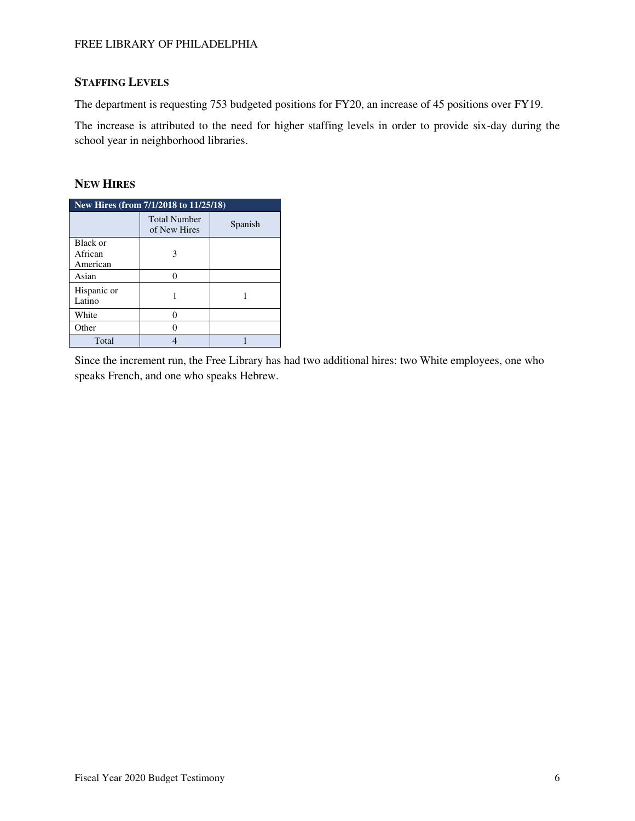# **STAFFING LEVELS**

The department is requesting 753 budgeted positions for FY20, an increase of 45 positions over FY19.

The increase is attributed to the need for higher staffing levels in order to provide six-day during the school year in neighborhood libraries.

# **NEW HIRES**

| New Hires (from $7/1/2018$ to $11/25/18$ ) |                                     |         |  |  |  |  |  |
|--------------------------------------------|-------------------------------------|---------|--|--|--|--|--|
|                                            | <b>Total Number</b><br>of New Hires | Spanish |  |  |  |  |  |
| Black or<br>African<br>American            |                                     |         |  |  |  |  |  |
| Asian                                      |                                     |         |  |  |  |  |  |
| Hispanic or<br>Latino                      |                                     |         |  |  |  |  |  |
| White                                      |                                     |         |  |  |  |  |  |
| Other                                      |                                     |         |  |  |  |  |  |
| Total                                      |                                     |         |  |  |  |  |  |

Since the increment run, the Free Library has had two additional hires: two White employees, one who speaks French, and one who speaks Hebrew.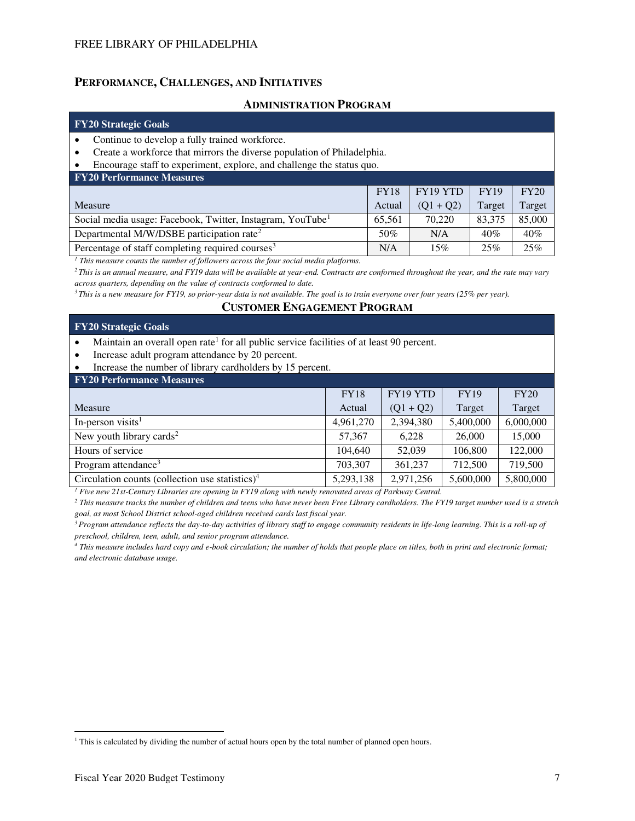### **PERFORMANCE, CHALLENGES, AND INITIATIVES**

### **ADMINISTRATION PROGRAM**

### **FY20 Strategic Goals**

- Continue to develop a fully trained workforce.
- Create a workforce that mirrors the diverse population of Philadelphia.
- Encourage staff to experiment, explore, and challenge the status quo.

| <b>FY20 Performance Measures</b>                                       |             |             |             |        |  |  |  |  |  |
|------------------------------------------------------------------------|-------------|-------------|-------------|--------|--|--|--|--|--|
|                                                                        | <b>FY18</b> | FY19 YTD    | <b>FY19</b> | FY20   |  |  |  |  |  |
| Measure                                                                | Actual      | $(01 + 02)$ | Target      | Target |  |  |  |  |  |
| Social media usage: Facebook, Twitter, Instagram, YouTube <sup>1</sup> | 65,561      | 70,220      | 83,375      | 85,000 |  |  |  |  |  |
| Departmental M/W/DSBE participation rate <sup>2</sup>                  | 50%         | N/A         | 40%         | 40%    |  |  |  |  |  |
| Percentage of staff completing required courses <sup>3</sup>           | N/A         | 15%         | 25%         | 25%    |  |  |  |  |  |

<sup>1</sup> This measure counts the number of followers across the four social media platforms.

*<sup>2</sup>This is an annual measure, and FY19 data will be available at year-end. Contracts are conformed throughout the year, and the rate may vary across quarters, depending on the value of contracts conformed to date.* 

*<sup>3</sup>This is a new measure for FY19, so prior-year data is not available. The goal is to train everyone over four years (25% per year).* 

## **CUSTOMER ENGAGEMENT PROGRAM**

### **FY20 Strategic Goals**

• Maintain an overall open rate<sup>1</sup> for all public service facilities of at least 90 percent.

- Increase adult program attendance by 20 percent.
- Increase the number of library cardholders by 15 percent.

#### **FY20 Performance Measures**  Measure FY18 Actual FY19 YTD  $(Q1 + Q2)$ FY19 Target FY20 Target In-person visits<sup>1</sup>  $\begin{array}{|c|c|c|c|c|c|c|c|c|} \hline 1,961,270 & 2,394,380 & 5,400,000 & 6,000,000 \\ \hline \end{array}$ New youth library cards<sup>2</sup> 15,000 15,000 15,000 15,000 15,000 15,000 15,000 15,000 15,000 15,000 15,000 16,000 16 Hours of service 104,640 104,640 106,800 122,000 Program attendance<sup>3</sup> 203,307 | 203,307 | 204,500 719,500 719,500 Circulation counts (collection use statistics)<sup>4</sup> 5,293,138 2,971,256 5,600,000 5,800,000

<sup>1</sup> Five new 21st-Century Libraries are opening in FY19 along with newly renovated areas of Parkway Central.

*2 This measure tracks the number of children and teens who have never been Free Library cardholders. The FY19 target number used is a stretch goal, as most School District school-aged children received cards last fiscal year.*

*<sup>3</sup>Program attendance reflects the day-to-day activities of library staff to engage community residents in life-long learning. This is a roll-up of preschool, children, teen, adult, and senior program attendance.* 

*4 This measure includes hard copy and e-book circulation; the number of holds that people place on titles, both in print and electronic format; and electronic database usage.* 

 $\overline{a}$ 

<sup>&</sup>lt;sup>1</sup> This is calculated by dividing the number of actual hours open by the total number of planned open hours.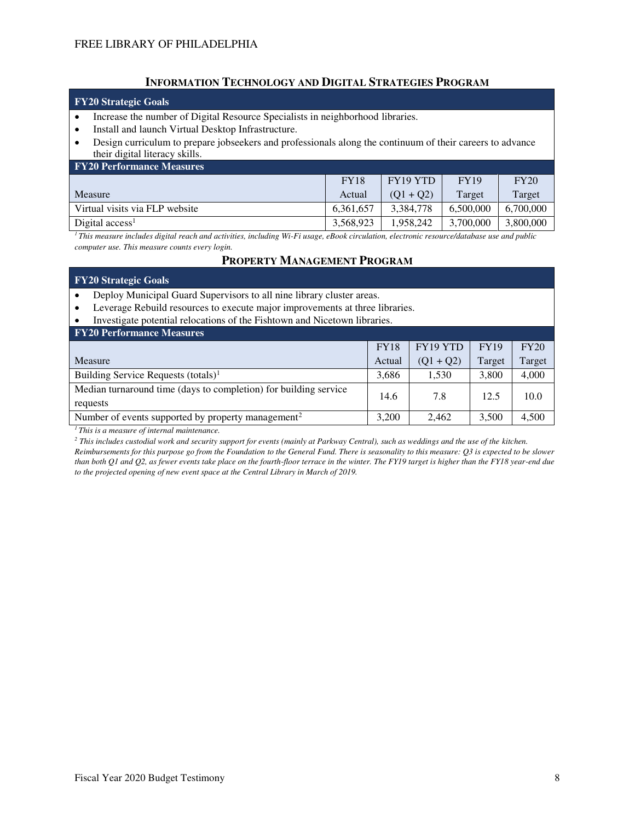## **INFORMATION TECHNOLOGY AND DIGITAL STRATEGIES PROGRAM**

### **FY20 Strategic Goals**

- Increase the number of Digital Resource Specialists in neighborhood libraries.
- Install and launch Virtual Desktop Infrastructure.
- Design curriculum to prepare jobseekers and professionals along the continuum of their careers to advance their digital literacy skills.

| <b>FY20 Performance Measures</b> |             |             |             |           |  |  |  |  |
|----------------------------------|-------------|-------------|-------------|-----------|--|--|--|--|
|                                  | <b>FY18</b> | FY19 YTD    | <b>FY19</b> | FY20      |  |  |  |  |
| Measure                          | Actual      | $(01 + 02)$ | Target      | Target    |  |  |  |  |
| Virtual visits via FLP website   | 6.361.657   | 3.384.778   | 6.500,000   | 6.700,000 |  |  |  |  |
| Digital $access1$                | 3,568,923   | 1.958.242   | 3,700,000   | 3,800,000 |  |  |  |  |

*<sup>1</sup>This measure includes digital reach and activities, including Wi-Fi usage, eBook circulation, electronic resource/database use and public computer use. This measure counts every login.* 

### **PROPERTY MANAGEMENT PROGRAM**

| <b>FY20 Strategic Goals</b>                                                               |                                                                           |             |             |        |  |  |  |  |  |
|-------------------------------------------------------------------------------------------|---------------------------------------------------------------------------|-------------|-------------|--------|--|--|--|--|--|
| Deploy Municipal Guard Supervisors to all nine library cluster areas.<br>$\bullet$        |                                                                           |             |             |        |  |  |  |  |  |
| Leverage Rebuild resources to execute major improvements at three libraries.<br>$\bullet$ |                                                                           |             |             |        |  |  |  |  |  |
| $\bullet$                                                                                 | Investigate potential relocations of the Fishtown and Nicetown libraries. |             |             |        |  |  |  |  |  |
| <b>FY20 Performance Measures</b>                                                          |                                                                           |             |             |        |  |  |  |  |  |
|                                                                                           | <b>FY18</b>                                                               | FY19 YTD    | <b>FY19</b> | FY20   |  |  |  |  |  |
| Measure                                                                                   | Actual                                                                    | $(Q1 + Q2)$ | Target      | Target |  |  |  |  |  |
| Building Service Requests (totals) <sup>1</sup>                                           | 3,686                                                                     | 1,530       | 3,800       | 4,000  |  |  |  |  |  |
| Median turnaround time (days to completion) for building service<br>requests              | 14.6                                                                      | 7.8         | 12.5        | 10.0   |  |  |  |  |  |
| Number of events supported by property management <sup>2</sup>                            | 3,200                                                                     | 2.462       | 3,500       | 4,500  |  |  |  |  |  |

*<sup>1</sup>This is a measure of internal maintenance.* 

*2 This includes custodial work and security support for events (mainly at Parkway Central), such as weddings and the use of the kitchen. Reimbursements for this purpose go from the Foundation to the General Fund. There is seasonality to this measure: Q3 is expected to be slower than both Q1 and Q2, as fewer events take place on the fourth-floor terrace in the winter. The FY19 target is higher than the FY18 year-end due to the projected opening of new event space at the Central Library in March of 2019.*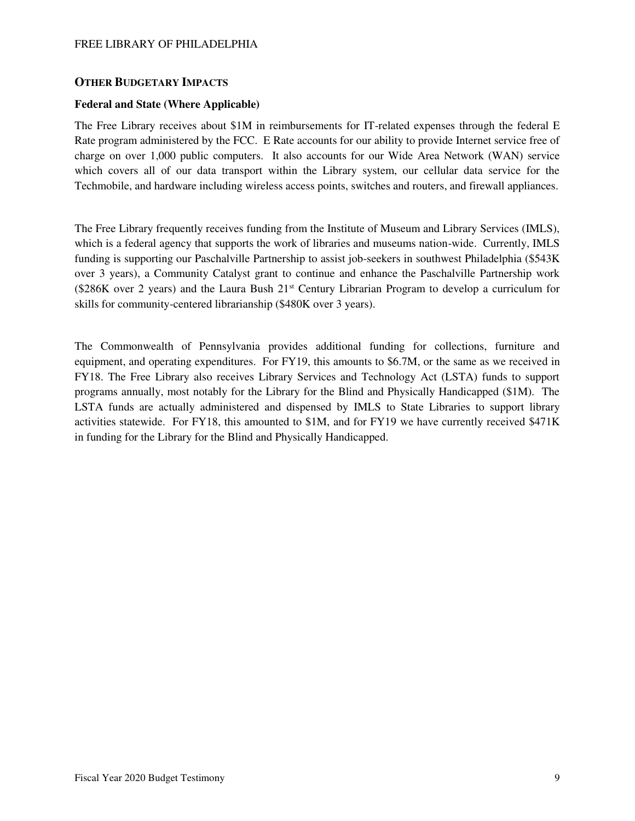## **OTHER BUDGETARY IMPACTS**

### **Federal and State (Where Applicable)**

The Free Library receives about \$1M in reimbursements for IT-related expenses through the federal E Rate program administered by the FCC. E Rate accounts for our ability to provide Internet service free of charge on over 1,000 public computers. It also accounts for our Wide Area Network (WAN) service which covers all of our data transport within the Library system, our cellular data service for the Techmobile, and hardware including wireless access points, switches and routers, and firewall appliances.

The Free Library frequently receives funding from the Institute of Museum and Library Services (IMLS), which is a federal agency that supports the work of libraries and museums nation-wide. Currently, IMLS funding is supporting our Paschalville Partnership to assist job-seekers in southwest Philadelphia (\$543K over 3 years), a Community Catalyst grant to continue and enhance the Paschalville Partnership work (\$286K over 2 years) and the Laura Bush 21st Century Librarian Program to develop a curriculum for skills for community-centered librarianship (\$480K over 3 years).

The Commonwealth of Pennsylvania provides additional funding for collections, furniture and equipment, and operating expenditures. For FY19, this amounts to \$6.7M, or the same as we received in FY18. The Free Library also receives Library Services and Technology Act (LSTA) funds to support programs annually, most notably for the Library for the Blind and Physically Handicapped (\$1M). The LSTA funds are actually administered and dispensed by IMLS to State Libraries to support library activities statewide. For FY18, this amounted to \$1M, and for FY19 we have currently received \$471K in funding for the Library for the Blind and Physically Handicapped.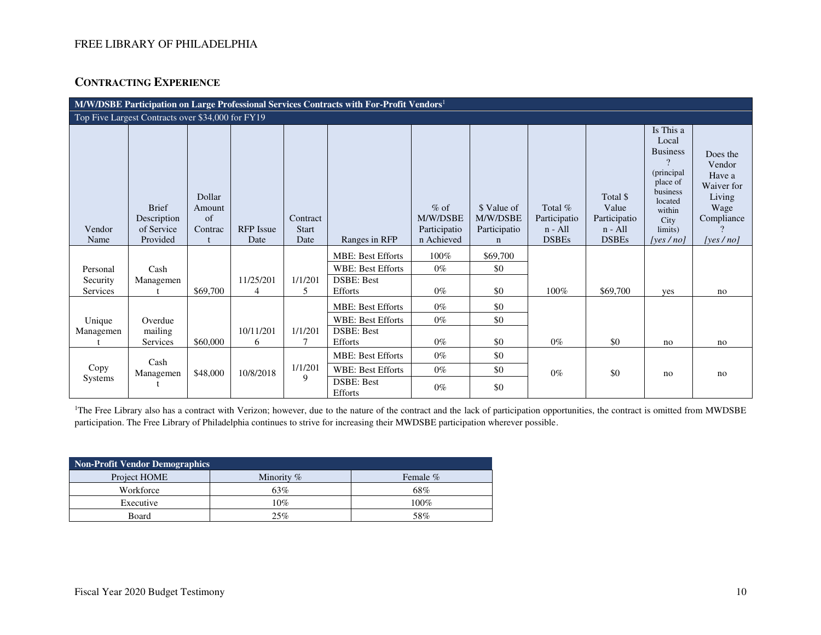# **CONTRACTING EXPERIENCE**

| M/W/DSBE Participation on Large Professional Services Contracts with For-Profit Vendors <sup>1</sup> |                                           |                                   |                             |                          |                                     |                                    |                                         |                                      |                                                |                                                                                                                                  |                                                                            |
|------------------------------------------------------------------------------------------------------|-------------------------------------------|-----------------------------------|-----------------------------|--------------------------|-------------------------------------|------------------------------------|-----------------------------------------|--------------------------------------|------------------------------------------------|----------------------------------------------------------------------------------------------------------------------------------|----------------------------------------------------------------------------|
| Top Five Largest Contracts over \$34,000 for FY19                                                    |                                           |                                   |                             |                          |                                     |                                    |                                         |                                      |                                                |                                                                                                                                  |                                                                            |
| Vendor                                                                                               | <b>Brief</b><br>Description<br>of Service | Dollar<br>Amount<br>of<br>Contrac | <b>RFP</b> Issue            | Contract<br><b>Start</b> |                                     | $%$ of<br>M/W/DSBE<br>Participatio | \$ Value of<br>M/W/DSBE<br>Participatio | Total %<br>Participatio<br>$n - All$ | Total \$<br>Value<br>Participatio<br>$n - All$ | Is This a<br>Local<br><b>Business</b><br>$\gamma$<br>(principal)<br>place of<br>business<br>located<br>within<br>City<br>limits) | Does the<br>Vendor<br>Have a<br>Waiver for<br>Living<br>Wage<br>Compliance |
| Name                                                                                                 | Provided                                  |                                   | Date                        | Date                     | Ranges in RFP                       | n Achieved                         | $\mathbf n$                             | <b>DSBEs</b>                         | <b>DSBEs</b>                                   | [yes $/no$ ]                                                                                                                     | [yes $/$ no]                                                               |
|                                                                                                      |                                           |                                   |                             |                          | <b>MBE: Best Efforts</b>            | 100%                               | \$69,700                                |                                      |                                                |                                                                                                                                  |                                                                            |
| Personal                                                                                             | Cash                                      |                                   |                             |                          | <b>WBE: Best Efforts</b>            | $0\%$                              | \$0                                     |                                      |                                                |                                                                                                                                  |                                                                            |
| Security<br>Services                                                                                 | Managemen                                 | \$69,700                          | 11/25/201<br>$\overline{4}$ | 1/1/201<br>5             | <b>DSBE: Best</b><br><b>Efforts</b> | $0\%$                              | \$0                                     | 100%                                 | \$69,700                                       | yes                                                                                                                              | no                                                                         |
|                                                                                                      |                                           |                                   |                             |                          | <b>MBE: Best Efforts</b>            | $0\%$                              | \$0                                     |                                      |                                                |                                                                                                                                  |                                                                            |
| Unique                                                                                               | Overdue                                   |                                   |                             |                          | <b>WBE: Best Efforts</b>            | $0\%$                              | \$0                                     |                                      |                                                |                                                                                                                                  |                                                                            |
| Managemen                                                                                            | mailing<br>Services                       | \$60,000                          | 10/11/201<br>6              | 1/1/201                  | <b>DSBE: Best</b><br>Efforts        | $0\%$                              | \$0                                     | $0\%$                                | \$0                                            | no                                                                                                                               | no                                                                         |
|                                                                                                      | Cash                                      |                                   |                             |                          | <b>MBE: Best Efforts</b>            | $0\%$                              | \$0                                     |                                      |                                                |                                                                                                                                  |                                                                            |
| Copy                                                                                                 | Managemen                                 | \$48,000                          | 10/8/2018                   | 1/1/201                  | <b>WBE: Best Efforts</b>            | $0\%$                              | \$0                                     | $0\%$                                | \$0                                            | no                                                                                                                               | no                                                                         |
| Systems                                                                                              |                                           |                                   |                             | 9                        | DSBE: Best<br>Efforts               | $0\%$                              | \$0                                     |                                      |                                                |                                                                                                                                  |                                                                            |

<sup>1</sup>The Free Library also has a contract with Verizon; however, due to the nature of the contract and the lack of participation opportunities, the contract is omitted from MWDSBE participation. The Free Library of Philadelphia continues to strive for increasing their MWDSBE participation wherever possible.

| Non-Profit Vendor Demographics |              |          |  |  |  |  |  |
|--------------------------------|--------------|----------|--|--|--|--|--|
| Project HOME                   | Minority $%$ | Female % |  |  |  |  |  |
| Workforce                      | 63%          | 68%      |  |  |  |  |  |
| Executive                      | 10%          | $100\%$  |  |  |  |  |  |
| Board                          | 25%          | 58%      |  |  |  |  |  |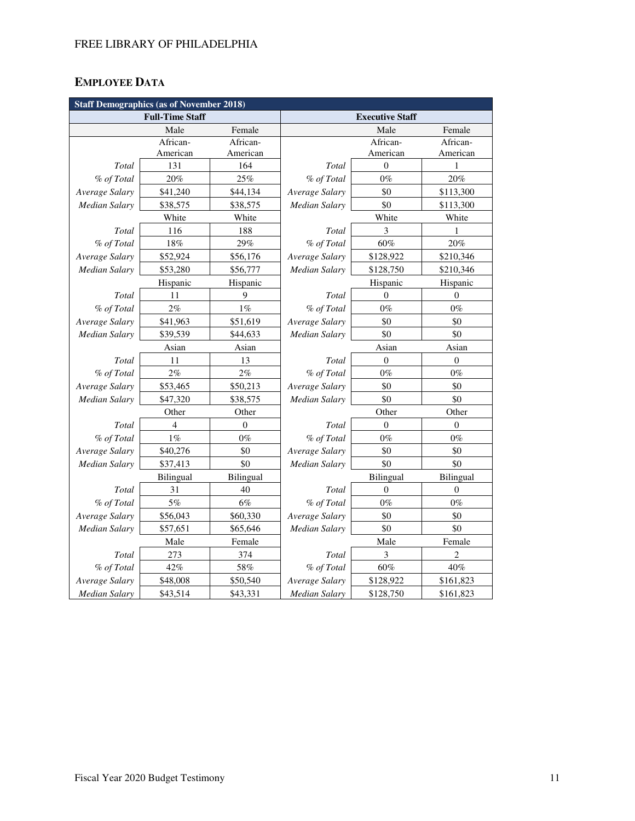# **EMPLOYEE DATA**

| <b>Staff Demographics (as of November 2018)</b> |                        |                  |                        |                  |                  |  |  |
|-------------------------------------------------|------------------------|------------------|------------------------|------------------|------------------|--|--|
|                                                 | <b>Full-Time Staff</b> |                  | <b>Executive Staff</b> |                  |                  |  |  |
|                                                 | Male                   | Female           |                        | Male             | Female           |  |  |
|                                                 | African-               | African-         |                        | African-         | African-         |  |  |
|                                                 | American               | American         |                        | American         | American         |  |  |
| Total                                           | 131                    | 164              | Total                  | $\theta$         | 1                |  |  |
| % of Total                                      | 20%                    | 25%              | % of Total             | $0\%$            | 20%              |  |  |
| Average Salary                                  | \$41,240               | \$44,134         | Average Salary         | \$0              | \$113,300        |  |  |
| <b>Median Salary</b>                            | \$38,575               | \$38,575         | Median Salary          | \$0              | \$113,300        |  |  |
|                                                 | White                  | White            |                        | White            | White            |  |  |
| Total                                           | 116                    | 188              | Total                  | 3                | 1                |  |  |
| % of Total                                      | $18\%$                 | 29%              | % of Total             | $60\%$           | 20%              |  |  |
| Average Salary                                  | \$52,924               | \$56,176         | Average Salary         | \$128,922        | \$210,346        |  |  |
| <b>Median Salary</b>                            | \$53,280               | \$56,777         | Median Salary          | \$128,750        | \$210,346        |  |  |
|                                                 | Hispanic               | Hispanic         |                        | Hispanic         | Hispanic         |  |  |
| Total                                           | 11                     | 9                | Total                  | $\overline{0}$   | $\theta$         |  |  |
| % of Total                                      | $2\%$                  | $1\%$            | % of Total             | $0\%$            | $0\%$            |  |  |
| Average Salary                                  | \$41,963               | \$51,619         | Average Salary         | \$0              | \$0              |  |  |
| <b>Median Salary</b>                            | \$39,539               | \$44,633         | <b>Median Salary</b>   | \$0              | \$0              |  |  |
|                                                 | Asian                  | Asian            |                        | Asian            |                  |  |  |
| Total                                           | 11                     | 13               | Total                  | $\boldsymbol{0}$ | $\boldsymbol{0}$ |  |  |
| % of Total                                      | $2\%$                  | $2\%$            | % of Total             | $0\%$            | $0\%$            |  |  |
| Average Salary                                  | \$53,465               | \$50,213         | Average Salary         | \$0              | \$0              |  |  |
| Median Salary                                   | \$47,320               | \$38,575         | Median Salary          | \$0              | \$0              |  |  |
|                                                 | Other                  | Other            | Other<br>Other         |                  |                  |  |  |
| Total                                           | $\overline{4}$         | $\mathbf{0}$     | Total                  | $\Omega$         | $\theta$         |  |  |
| % of Total                                      | $1\%$                  | $0\%$            | % of Total             | $0\%$            | $0\%$            |  |  |
| Average Salary                                  | \$40,276               | \$0              | Average Salary         | \$0              | \$0              |  |  |
| Median Salary                                   | \$37,413               | \$0              | Median Salary          | \$0              | \$0              |  |  |
|                                                 | Bilingual              | <b>Bilingual</b> | Bilingual<br>Bilingual |                  |                  |  |  |
| Total                                           | 31                     | 40               | Total                  | $\overline{0}$   | $\overline{0}$   |  |  |
| % of Total                                      | 5%                     | $6\%$            | % of Total             | $0\%$            | $0\%$            |  |  |
| Average Salary                                  | \$56,043               | \$60,330         | Average Salary         | \$0              | \$0              |  |  |
| Median Salary                                   | \$57,651               | \$65,646         | <b>Median Salary</b>   | \$0              | \$0              |  |  |
| Male<br>Female                                  |                        |                  | Male                   | Female           |                  |  |  |
| Total                                           | 273                    | 374              | Total                  | 3                | $\overline{2}$   |  |  |
| % of Total                                      | 42%                    | $58\%$           | % of Total             | $60\%$           | 40%              |  |  |
| Average Salary                                  | \$48,008               | \$50,540         | Average Salary         | \$128,922        | \$161,823        |  |  |
| <b>Median Salary</b>                            | \$43,514               | \$43,331         | <b>Median Salary</b>   | \$128,750        | \$161,823        |  |  |